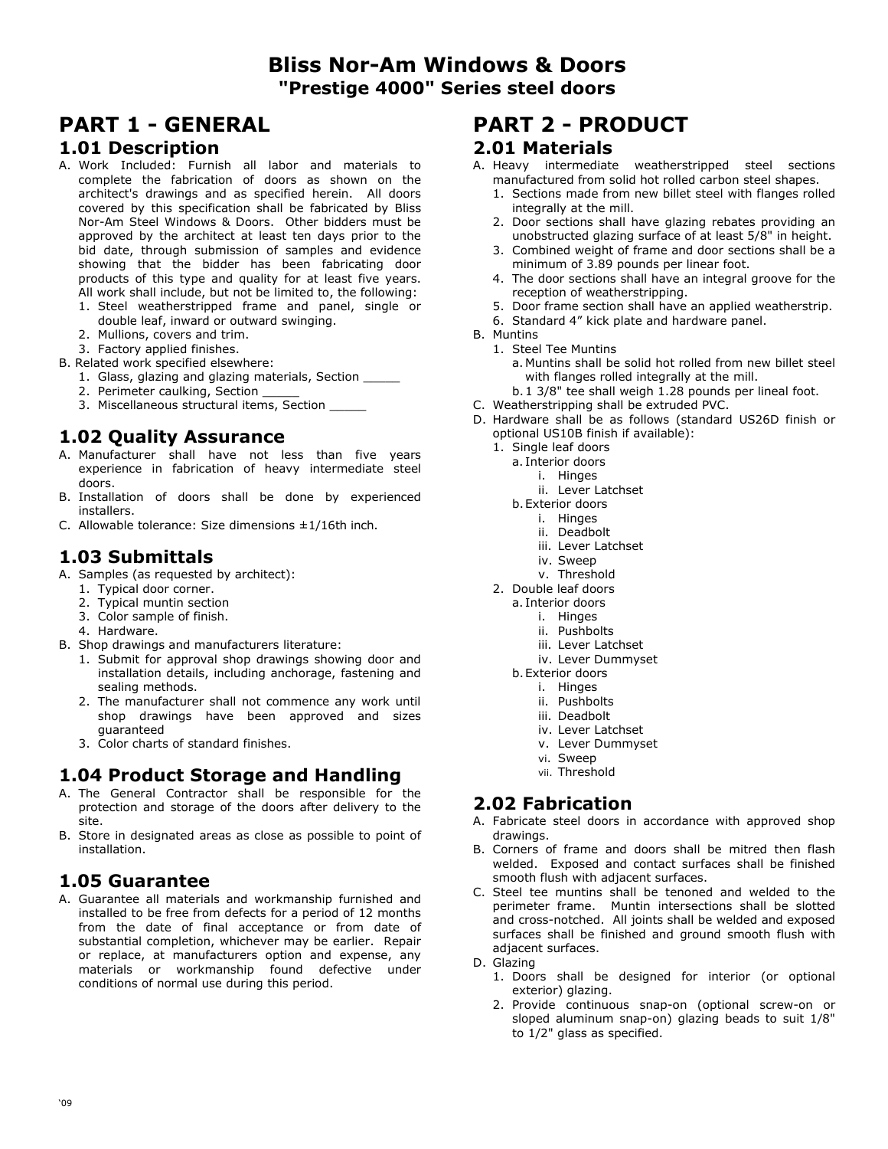# **Bliss Nor-Am Windows & Doors "Prestige 4000" Series steel doors**

# **PART 1 - GENERAL**

#### **1.01 Description**

- A. Work Included: Furnish all labor and materials to complete the fabrication of doors as shown on the architect's drawings and as specified herein. All doors covered by this specification shall be fabricated by Bliss Nor-Am Steel Windows & Doors. Other bidders must be approved by the architect at least ten days prior to the bid date, through submission of samples and evidence showing that the bidder has been fabricating door products of this type and quality for at least five years. All work shall include, but not be limited to, the following:
	- 1. Steel weatherstripped frame and panel, single or double leaf, inward or outward swinging.
	- 2. Mullions, covers and trim.
	- 3. Factory applied finishes.
- B. Related work specified elsewhere:
	- 1. Glass, glazing and glazing materials, Section \_\_\_\_\_
	- 2. Perimeter caulking, Section
	- 3. Miscellaneous structural items, Section

## **1.02 Quality Assurance**

- A. Manufacturer shall have not less than five years experience in fabrication of heavy intermediate steel doors.
- B. Installation of doors shall be done by experienced installers.
- C. Allowable tolerance: Size dimensions  $\pm 1/16$ th inch.

#### **1.03 Submittals**

- A. Samples (as requested by architect):
	- 1. Typical door corner.
	- 2. Typical muntin section
	- 3. Color sample of finish.
	- 4. Hardware.
- B. Shop drawings and manufacturers literature:
	- 1. Submit for approval shop drawings showing door and installation details, including anchorage, fastening and sealing methods.
	- 2. The manufacturer shall not commence any work until shop drawings have been approved and sizes guaranteed
	- 3. Color charts of standard finishes.

# **1.04 Product Storage and Handling**

- A. The General Contractor shall be responsible for the protection and storage of the doors after delivery to the site.
- B. Store in designated areas as close as possible to point of installation.

# **1.05 Guarantee**

A. Guarantee all materials and workmanship furnished and installed to be free from defects for a period of 12 months from the date of final acceptance or from date of substantial completion, whichever may be earlier. Repair or replace, at manufacturers option and expense, any materials or workmanship found defective under conditions of normal use during this period.

# **PART 2 - PRODUCT**

#### **2.01 Materials**

- A. Heavy intermediate weatherstripped steel sections manufactured from solid hot rolled carbon steel shapes.
	- 1. Sections made from new billet steel with flanges rolled integrally at the mill.
	- 2. Door sections shall have glazing rebates providing an unobstructed glazing surface of at least 5/8" in height.
	- 3. Combined weight of frame and door sections shall be a minimum of 3.89 pounds per linear foot.
	- 4. The door sections shall have an integral groove for the reception of weatherstripping.
	- 5. Door frame section shall have an applied weatherstrip.
	- 6. Standard 4" kick plate and hardware panel.
- B. Muntins
	- 1. Steel Tee Muntins
		- a. Muntins shall be solid hot rolled from new billet steel with flanges rolled integrally at the mill.
	- b. 1 3/8" tee shall weigh 1.28 pounds per lineal foot.
	- C. Weatherstripping shall be extruded PVC.
	- D. Hardware shall be as follows (standard US26D finish or optional US10B finish if available):
		- 1. Single leaf doors
		- a. Interior doors
		- i. Hinges
			- ii. Lever Latchset
		- b. Exterior doors
			- i. Hinges
				- ii. Deadbolt
				- iii. Lever Latchset
				- iv. Sweep
			- v. Threshold
		- 2. Double leaf doors
			- a. Interior doors
				- i. Hinges
				- ii. Pushbolts
				- iii. Lever Latchset
				- iv. Lever Dummyset
			- b. Exterior doors
				- i. Hinges
				- ii. Pushbolts
				- iii. Deadbolt
				- iv. Lever Latchset
				- v. Lever Dummyset
				- vi. Sweep
				- vii. Threshold

### **2.02 Fabrication**

- A. Fabricate steel doors in accordance with approved shop drawings.
- B. Corners of frame and doors shall be mitred then flash welded. Exposed and contact surfaces shall be finished smooth flush with adjacent surfaces.
- C. Steel tee muntins shall be tenoned and welded to the perimeter frame. Muntin intersections shall be slotted and cross-notched. All joints shall be welded and exposed surfaces shall be finished and ground smooth flush with adjacent surfaces.

D. Glazing

- 1. Doors shall be designed for interior (or optional exterior) glazing.
- 2. Provide continuous snap-on (optional screw-on or sloped aluminum snap-on) glazing beads to suit 1/8" to 1/2" glass as specified.